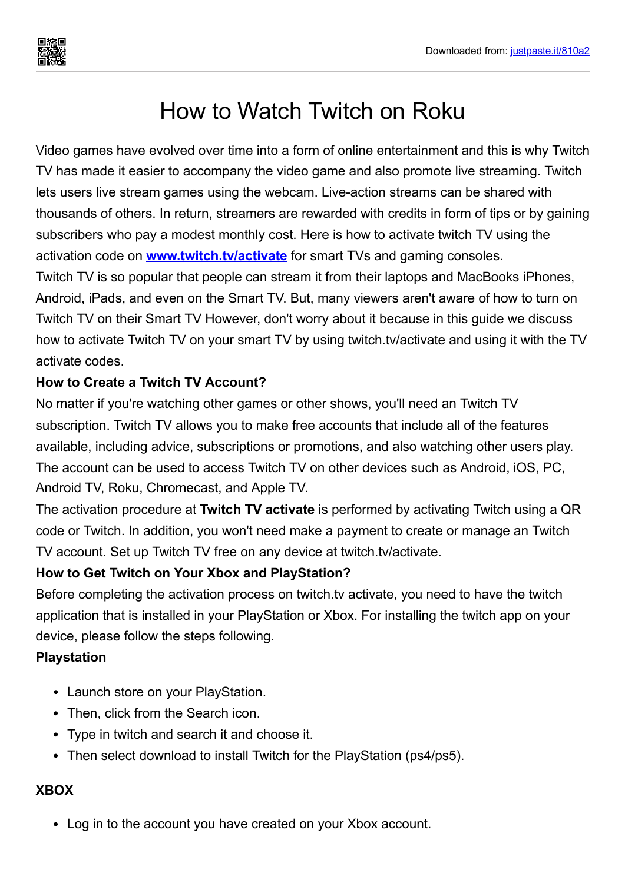# How to Watch Twitch on Roku

Video games have evolved over time into a form of online entertainment and this is why Twitch TV has made it easier to accompany the video game and also promote live streaming. Twitch lets users live stream games using the webcam. Live-action streams can be shared with thousands of others. In return, streamers are rewarded with credits in form of tips or by gaining subscribers who pay a modest monthly cost. Here is how to activate twitch TV using the activation code on **[www.twitch.tv/activate](https://justpaste.it/redirect/810a2/http://twitch-activate.com/)** for smart TVs and gaming consoles. Twitch TV is so popular that people can stream it from their laptops and MacBooks iPhones, Android, iPads, and even on the Smart TV. But, many viewers aren't aware of how to turn on Twitch TV on their Smart TV However, don't worry about it because in this guide we discuss how to activate Twitch TV on your smart TV by using twitch.tv/activate and using it with the TV activate codes.

#### **How to Create a Twitch TV Account?**

No matter if you're watching other games or other shows, you'll need an Twitch TV subscription. Twitch TV allows you to make free accounts that include all of the features available, including advice, subscriptions or promotions, and also watching other users play. The account can be used to access Twitch TV on other devices such as Android, iOS, PC, Android TV, Roku, Chromecast, and Apple TV.

The activation procedure at **Twitch TV activate** is performed by activating Twitch using a QR code or Twitch. In addition, you won't need make a payment to create or manage an Twitch TV account. Set up Twitch TV free on any device at twitch.tv/activate.

#### **How to Get Twitch on Your Xbox and PlayStation?**

Before completing the activation process on twitch.tv activate, you need to have the twitch application that is installed in your PlayStation or Xbox. For installing the twitch app on your device, please follow the steps following.

#### **Playstation**

- Launch store on your PlayStation.
- Then, click from the Search icon.
- Type in twitch and search it and choose it.
- Then select download to install Twitch for the PlayStation (ps4/ps5).

#### **XBOX**

Log in to the account you have created on your Xbox account.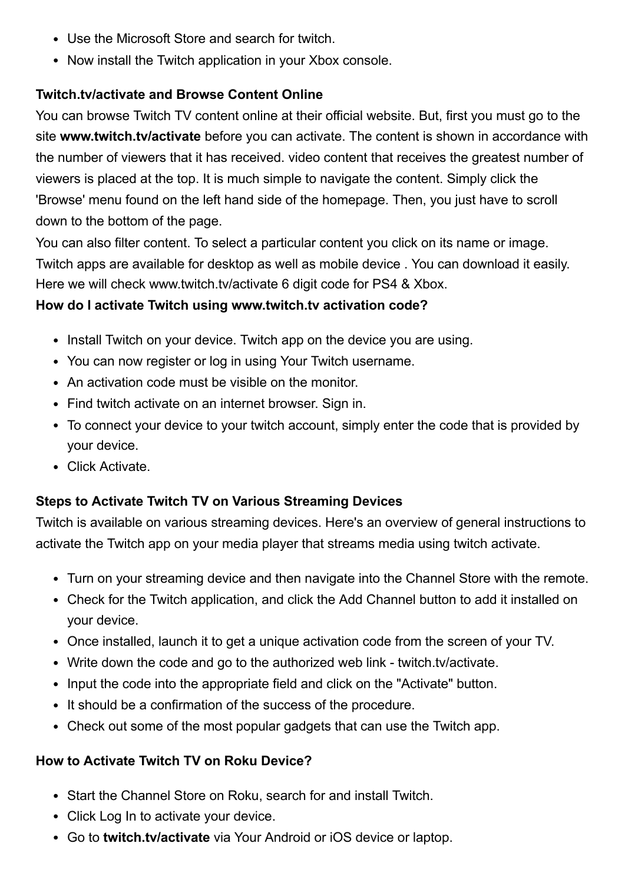- Use the Microsoft Store and search for twitch.
- Now install the Twitch application in your Xbox console.

#### **Twitch.tv/activate and Browse Content Online**

You can browse Twitch TV content online at their official website. But, first you must go to the site **www.twitch.tv/activate** before you can activate. The content is shown in accordance with the number of viewers that it has received. video content that receives the greatest number of viewers is placed at the top. It is much simple to navigate the content. Simply click the 'Browse' menu found on the left hand side of the homepage. Then, you just have to scroll down to the bottom of the page.

You can also filter content. To select a particular content you click on its name or image. Twitch apps are available for desktop as well as mobile device . You can download it easily. Here we will check www.twitch.tv/activate 6 digit code for PS4 & Xbox.

#### **How do I activate Twitch using www.twitch.tv activation code?**

- Install Twitch on your device. Twitch app on the device you are using.
- You can now register or log in using Your Twitch username.
- An activation code must be visible on the monitor.
- Find twitch activate on an internet browser. Sign in.
- To connect your device to your twitch account, simply enter the code that is provided by your device.
- Click Activate.

#### **Steps to Activate Twitch TV on Various Streaming Devices**

Twitch is available on various streaming devices. Here's an overview of general instructions to activate the Twitch app on your media player that streams media using twitch activate.

- Turn on your streaming device and then navigate into the Channel Store with the remote.
- Check for the Twitch application, and click the Add Channel button to add it installed on your device.
- Once installed, launch it to get a unique activation code from the screen of your TV.
- Write down the code and go to the authorized web link twitch.tv/activate.
- Input the code into the appropriate field and click on the "Activate" button.
- It should be a confirmation of the success of the procedure.
- Check out some of the most popular gadgets that can use the Twitch app.

#### **How to Activate Twitch TV on Roku Device?**

- Start the Channel Store on Roku, search for and install Twitch.
- Click Log In to activate your device.
- Go to **twitch.tv/activate** via Your Android or iOS device or laptop.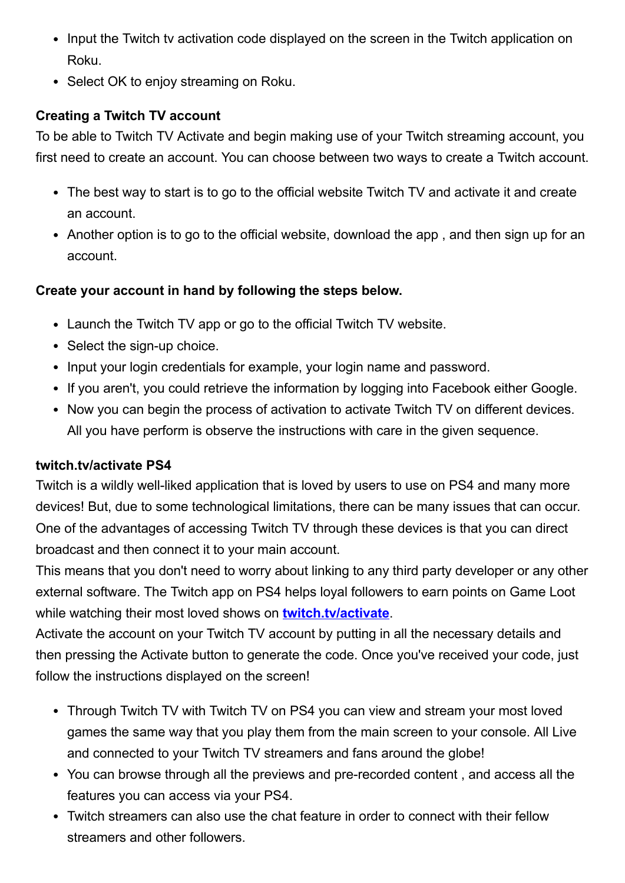- Input the Twitch ty activation code displayed on the screen in the Twitch application on Roku.
- Select OK to enjoy streaming on Roku.

## **Creating a Twitch TV account**

To be able to Twitch TV Activate and begin making use of your Twitch streaming account, you first need to create an account. You can choose between two ways to create a Twitch account.

- The best way to start is to go to the official website Twitch TV and activate it and create an account.
- Another option is to go to the official website, download the app, and then sign up for an account.

## **Create your account in hand by following the steps below.**

- Launch the Twitch TV app or go to the official Twitch TV website.
- Select the sign-up choice.
- Input your login credentials for example, your login name and password.
- If you aren't, you could retrieve the information by logging into Facebook either Google.
- Now you can begin the process of activation to activate Twitch TV on different devices. All you have perform is observe the instructions with care in the given sequence.

## **twitch.tv/activate PS4**

Twitch is a wildly well-liked application that is loved by users to use on PS4 and many more devices! But, due to some technological limitations, there can be many issues that can occur. One of the advantages of accessing Twitch TV through these devices is that you can direct broadcast and then connect it to your main account.

This means that you don't need to worry about linking to any third party developer or any other external software. The Twitch app on PS4 helps loyal followers to earn points on Game Loot while watching their most loved shows on **[twitch.tv/activate](https://justpaste.it/redirect/810a2/http://twitch-activate.com/)**.

Activate the account on your Twitch TV account by putting in all the necessary details and then pressing the Activate button to generate the code. Once you've received your code, just follow the instructions displayed on the screen!

- Through Twitch TV with Twitch TV on PS4 you can view and stream your most loved games the same way that you play them from the main screen to your console. All Live and connected to your Twitch TV streamers and fans around the globe!
- You can browse through all the previews and pre-recorded content , and access all the features you can access via your PS4.
- Twitch streamers can also use the chat feature in order to connect with their fellow streamers and other followers.